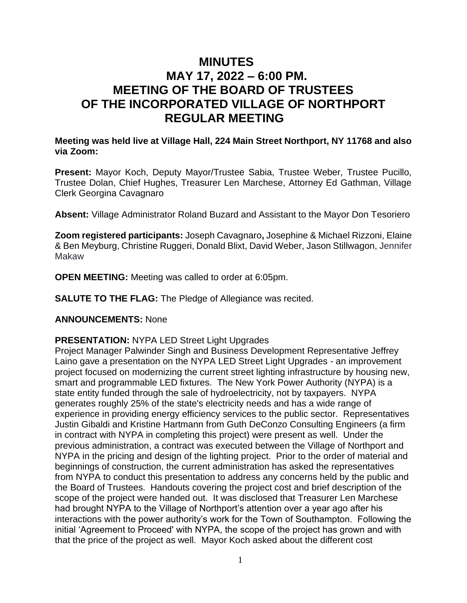# **MINUTES MAY 17, 2022 – 6:00 PM. MEETING OF THE BOARD OF TRUSTEES OF THE INCORPORATED VILLAGE OF NORTHPORT REGULAR MEETING**

## **Meeting was held live at Village Hall, 224 Main Street Northport, NY 11768 and also via Zoom:**

**Present:** Mayor Koch, Deputy Mayor/Trustee Sabia, Trustee Weber, Trustee Pucillo, Trustee Dolan, Chief Hughes, Treasurer Len Marchese, Attorney Ed Gathman, Village Clerk Georgina Cavagnaro

**Absent:** Village Administrator Roland Buzard and Assistant to the Mayor Don Tesoriero

**Zoom registered participants:** Joseph Cavagnaro**,** Josephine & Michael Rizzoni, Elaine & Ben Meyburg, Christine Ruggeri, Donald Blixt, David Weber, Jason Stillwagon, Jennifer Makaw

**OPEN MEETING:** Meeting was called to order at 6:05pm.

**SALUTE TO THE FLAG:** The Pledge of Allegiance was recited.

## **ANNOUNCEMENTS:** None

## **PRESENTATION:** NYPA LED Street Light Upgrades

Project Manager Palwinder Singh and Business Development Representative Jeffrey Laino gave a presentation on the NYPA LED Street Light Upgrades - an improvement project focused on modernizing the current street lighting infrastructure by housing new, smart and programmable LED fixtures. The New York Power Authority (NYPA) is a state entity funded through the sale of hydroelectricity, not by taxpayers. NYPA generates roughly 25% of the state's electricity needs and has a wide range of experience in providing energy efficiency services to the public sector. Representatives Justin Gibaldi and Kristine Hartmann from Guth DeConzo Consulting Engineers (a firm in contract with NYPA in completing this project) were present as well. Under the previous administration, a contract was executed between the Village of Northport and NYPA in the pricing and design of the lighting project. Prior to the order of material and beginnings of construction, the current administration has asked the representatives from NYPA to conduct this presentation to address any concerns held by the public and the Board of Trustees. Handouts covering the project cost and brief description of the scope of the project were handed out. It was disclosed that Treasurer Len Marchese had brought NYPA to the Village of Northport's attention over a year ago after his interactions with the power authority's work for the Town of Southampton. Following the initial 'Agreement to Proceed' with NYPA, the scope of the project has grown and with that the price of the project as well. Mayor Koch asked about the different cost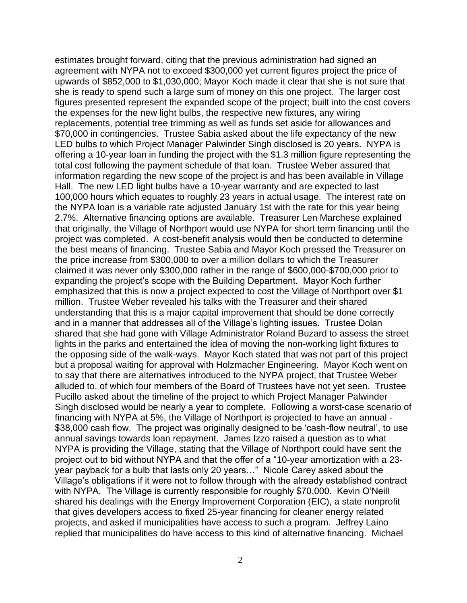estimates brought forward, citing that the previous administration had signed an agreement with NYPA not to exceed \$300,000 yet current figures project the price of upwards of \$852,000 to \$1,030,000; Mayor Koch made it clear that she is not sure that she is ready to spend such a large sum of money on this one project. The larger cost figures presented represent the expanded scope of the project; built into the cost covers the expenses for the new light bulbs, the respective new fixtures, any wiring replacements, potential tree trimming as well as funds set aside for allowances and \$70,000 in contingencies. Trustee Sabia asked about the life expectancy of the new LED bulbs to which Project Manager Palwinder Singh disclosed is 20 years. NYPA is offering a 10-year loan in funding the project with the \$1.3 million figure representing the total cost following the payment schedule of that loan. Trustee Weber assured that information regarding the new scope of the project is and has been available in Village Hall. The new LED light bulbs have a 10-year warranty and are expected to last 100,000 hours which equates to roughly 23 years in actual usage. The interest rate on the NYPA loan is a variable rate adjusted January 1st with the rate for this year being 2.7%. Alternative financing options are available. Treasurer Len Marchese explained that originally, the Village of Northport would use NYPA for short term financing until the project was completed. A cost-benefit analysis would then be conducted to determine the best means of financing. Trustee Sabia and Mayor Koch pressed the Treasurer on the price increase from \$300,000 to over a million dollars to which the Treasurer claimed it was never only \$300,000 rather in the range of \$600,000-\$700,000 prior to expanding the project's scope with the Building Department. Mayor Koch further emphasized that this is now a project expected to cost the Village of Northport over \$1 million. Trustee Weber revealed his talks with the Treasurer and their shared understanding that this is a major capital improvement that should be done correctly and in a manner that addresses all of the Village's lighting issues. Trustee Dolan shared that she had gone with Village Administrator Roland Buzard to assess the street lights in the parks and entertained the idea of moving the non-working light fixtures to the opposing side of the walk-ways. Mayor Koch stated that was not part of this project but a proposal waiting for approval with Holzmacher Engineering. Mayor Koch went on to say that there are alternatives introduced to the NYPA project, that Trustee Weber alluded to, of which four members of the Board of Trustees have not yet seen. Trustee Pucillo asked about the timeline of the project to which Project Manager Palwinder Singh disclosed would be nearly a year to complete. Following a worst-case scenario of financing with NYPA at 5%, the Village of Northport is projected to have an annual - \$38,000 cash flow. The project was originally designed to be 'cash-flow neutral', to use annual savings towards loan repayment. James Izzo raised a question as to what NYPA is providing the Village, stating that the Village of Northport could have sent the project out to bid without NYPA and that the offer of a "10-year amortization with a 23 year payback for a bulb that lasts only 20 years…" Nicole Carey asked about the Village's obligations if it were not to follow through with the already established contract with NYPA. The Village is currently responsible for roughly \$70,000. Kevin O'Neill shared his dealings with the Energy Improvement Corporation (EIC), a state nonprofit that gives developers access to fixed 25-year financing for cleaner energy related projects, and asked if municipalities have access to such a program. Jeffrey Laino replied that municipalities do have access to this kind of alternative financing. Michael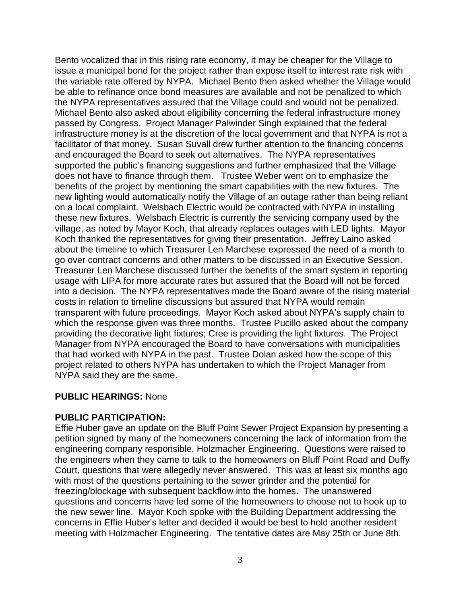Bento vocalized that in this rising rate economy, it may be cheaper for the Village to issue a municipal bond for the project rather than expose itself to interest rate risk with the variable rate offered by NYPA. Michael Bento then asked whether the Village would be able to refinance once bond measures are available and not be penalized to which the NYPA representatives assured that the Village could and would not be penalized. Michael Bento also asked about eligibility concerning the federal infrastructure money passed by Congress. Project Manager Palwinder Singh explained that the federal infrastructure money is at the discretion of the local government and that NYPA is not a facilitator of that money. Susan Suvall drew further attention to the financing concerns and encouraged the Board to seek out alternatives. The NYPA representatives supported the public's financing suggestions and further emphasized that the Village does not have to finance through them. Trustee Weber went on to emphasize the benefits of the project by mentioning the smart capabilities with the new fixtures. The new lighting would automatically notify the Village of an outage rather than being reliant on a local complaint. Welsbach Electric would be contracted with NYPA in installing these new fixtures. Welsbach Electric is currently the servicing company used by the village, as noted by Mayor Koch, that already replaces outages with LED lights. Mayor Koch thanked the representatives for giving their presentation. Jeffrey Laino asked about the timeline to which Treasurer Len Marchese expressed the need of a month to go over contract concerns and other matters to be discussed in an Executive Session. Treasurer Len Marchese discussed further the benefits of the smart system in reporting usage with LIPA for more accurate rates but assured that the Board will not be forced into a decision. The NYPA representatives made the Board aware of the rising material costs in relation to timeline discussions but assured that NYPA would remain transparent with future proceedings. Mayor Koch asked about NYPA's supply chain to which the response given was three months. Trustee Pucillo asked about the company providing the decorative light fixtures; Cree is providing the light fixtures. The Project Manager from NYPA encouraged the Board to have conversations with municipalities that had worked with NYPA in the past. Trustee Dolan asked how the scope of this project related to others NYPA has undertaken to which the Project Manager from NYPA said they are the same.

#### **PUBLIC HEARINGS:** None

#### **PUBLIC PARTICIPATION:**

Effie Huber gave an update on the Bluff Point Sewer Project Expansion by presenting a petition signed by many of the homeowners concerning the lack of information from the engineering company responsible, Holzmacher Engineering. Questions were raised to the engineers when they came to talk to the homeowners on Bluff Point Road and Duffy Court, questions that were allegedly never answered. This was at least six months ago with most of the questions pertaining to the sewer grinder and the potential for freezing/blockage with subsequent backflow into the homes. The unanswered questions and concerns have led some of the homeowners to choose not to hook up to the new sewer line. Mayor Koch spoke with the Building Department addressing the concerns in Effie Huber's letter and decided it would be best to hold another resident meeting with Holzmacher Engineering. The tentative dates are May 25th or June 8th.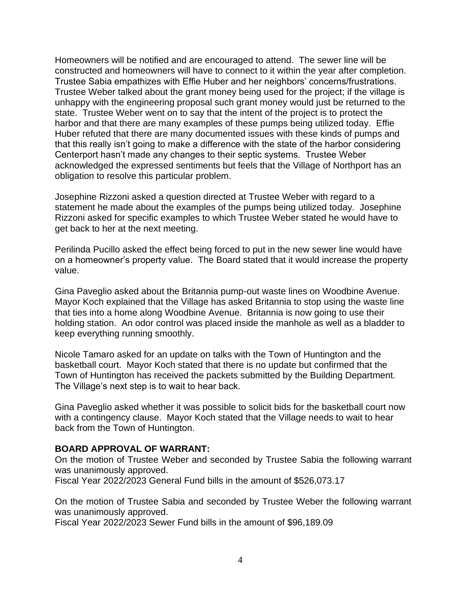Homeowners will be notified and are encouraged to attend. The sewer line will be constructed and homeowners will have to connect to it within the year after completion. Trustee Sabia empathizes with Effie Huber and her neighbors' concerns/frustrations. Trustee Weber talked about the grant money being used for the project; if the village is unhappy with the engineering proposal such grant money would just be returned to the state. Trustee Weber went on to say that the intent of the project is to protect the harbor and that there are many examples of these pumps being utilized today. Effie Huber refuted that there are many documented issues with these kinds of pumps and that this really isn't going to make a difference with the state of the harbor considering Centerport hasn't made any changes to their septic systems. Trustee Weber acknowledged the expressed sentiments but feels that the Village of Northport has an obligation to resolve this particular problem.

Josephine Rizzoni asked a question directed at Trustee Weber with regard to a statement he made about the examples of the pumps being utilized today. Josephine Rizzoni asked for specific examples to which Trustee Weber stated he would have to get back to her at the next meeting.

Perilinda Pucillo asked the effect being forced to put in the new sewer line would have on a homeowner's property value. The Board stated that it would increase the property value.

Gina Paveglio asked about the Britannia pump-out waste lines on Woodbine Avenue. Mayor Koch explained that the Village has asked Britannia to stop using the waste line that ties into a home along Woodbine Avenue. Britannia is now going to use their holding station. An odor control was placed inside the manhole as well as a bladder to keep everything running smoothly.

Nicole Tamaro asked for an update on talks with the Town of Huntington and the basketball court. Mayor Koch stated that there is no update but confirmed that the Town of Huntington has received the packets submitted by the Building Department. The Village's next step is to wait to hear back.

Gina Paveglio asked whether it was possible to solicit bids for the basketball court now with a contingency clause. Mayor Koch stated that the Village needs to wait to hear back from the Town of Huntington.

## **BOARD APPROVAL OF WARRANT:**

On the motion of Trustee Weber and seconded by Trustee Sabia the following warrant was unanimously approved.

Fiscal Year 2022/2023 General Fund bills in the amount of \$526,073.17

On the motion of Trustee Sabia and seconded by Trustee Weber the following warrant was unanimously approved.

Fiscal Year 2022/2023 Sewer Fund bills in the amount of \$96,189.09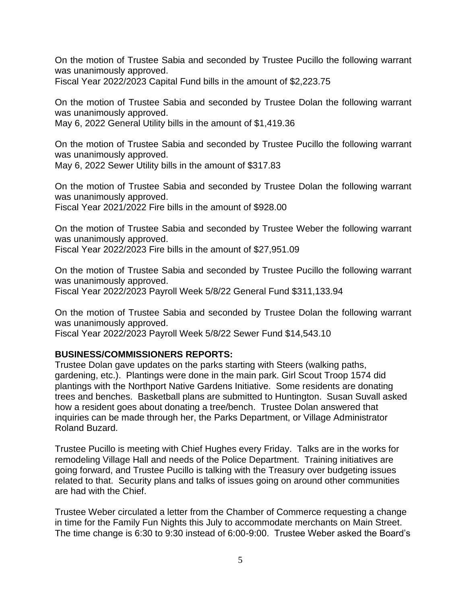On the motion of Trustee Sabia and seconded by Trustee Pucillo the following warrant was unanimously approved.

Fiscal Year 2022/2023 Capital Fund bills in the amount of \$2,223.75

On the motion of Trustee Sabia and seconded by Trustee Dolan the following warrant was unanimously approved.

May 6, 2022 General Utility bills in the amount of \$1,419.36

On the motion of Trustee Sabia and seconded by Trustee Pucillo the following warrant was unanimously approved.

May 6, 2022 Sewer Utility bills in the amount of \$317.83

On the motion of Trustee Sabia and seconded by Trustee Dolan the following warrant was unanimously approved.

Fiscal Year 2021/2022 Fire bills in the amount of \$928.00

On the motion of Trustee Sabia and seconded by Trustee Weber the following warrant was unanimously approved.

Fiscal Year 2022/2023 Fire bills in the amount of \$27,951.09

On the motion of Trustee Sabia and seconded by Trustee Pucillo the following warrant was unanimously approved.

Fiscal Year 2022/2023 Payroll Week 5/8/22 General Fund \$311,133.94

On the motion of Trustee Sabia and seconded by Trustee Dolan the following warrant was unanimously approved.

Fiscal Year 2022/2023 Payroll Week 5/8/22 Sewer Fund \$14,543.10

## **BUSINESS/COMMISSIONERS REPORTS:**

Trustee Dolan gave updates on the parks starting with Steers (walking paths, gardening, etc.). Plantings were done in the main park. Girl Scout Troop 1574 did plantings with the Northport Native Gardens Initiative. Some residents are donating trees and benches. Basketball plans are submitted to Huntington. Susan Suvall asked how a resident goes about donating a tree/bench. Trustee Dolan answered that inquiries can be made through her, the Parks Department, or Village Administrator Roland Buzard.

Trustee Pucillo is meeting with Chief Hughes every Friday. Talks are in the works for remodeling Village Hall and needs of the Police Department. Training initiatives are going forward, and Trustee Pucillo is talking with the Treasury over budgeting issues related to that. Security plans and talks of issues going on around other communities are had with the Chief.

Trustee Weber circulated a letter from the Chamber of Commerce requesting a change in time for the Family Fun Nights this July to accommodate merchants on Main Street. The time change is 6:30 to 9:30 instead of 6:00-9:00. Trustee Weber asked the Board's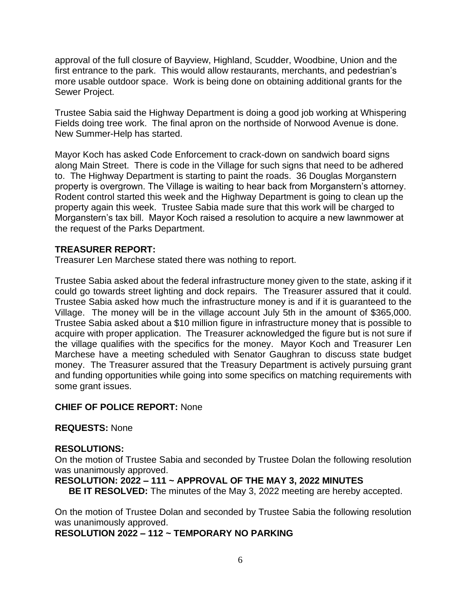approval of the full closure of Bayview, Highland, Scudder, Woodbine, Union and the first entrance to the park. This would allow restaurants, merchants, and pedestrian's more usable outdoor space. Work is being done on obtaining additional grants for the Sewer Project.

Trustee Sabia said the Highway Department is doing a good job working at Whispering Fields doing tree work. The final apron on the northside of Norwood Avenue is done. New Summer-Help has started.

Mayor Koch has asked Code Enforcement to crack-down on sandwich board signs along Main Street. There is code in the Village for such signs that need to be adhered to. The Highway Department is starting to paint the roads. 36 Douglas Morganstern property is overgrown. The Village is waiting to hear back from Morganstern's attorney. Rodent control started this week and the Highway Department is going to clean up the property again this week. Trustee Sabia made sure that this work will be charged to Morganstern's tax bill. Mayor Koch raised a resolution to acquire a new lawnmower at the request of the Parks Department.

## **TREASURER REPORT:**

Treasurer Len Marchese stated there was nothing to report.

Trustee Sabia asked about the federal infrastructure money given to the state, asking if it could go towards street lighting and dock repairs. The Treasurer assured that it could. Trustee Sabia asked how much the infrastructure money is and if it is guaranteed to the Village. The money will be in the village account July 5th in the amount of \$365,000. Trustee Sabia asked about a \$10 million figure in infrastructure money that is possible to acquire with proper application. The Treasurer acknowledged the figure but is not sure if the village qualifies with the specifics for the money. Mayor Koch and Treasurer Len Marchese have a meeting scheduled with Senator Gaughran to discuss state budget money. The Treasurer assured that the Treasury Department is actively pursuing grant and funding opportunities while going into some specifics on matching requirements with some grant issues.

## **CHIEF OF POLICE REPORT:** None

#### **REQUESTS:** None

## **RESOLUTIONS:**

On the motion of Trustee Sabia and seconded by Trustee Dolan the following resolution was unanimously approved.

## **RESOLUTION: 2022 – 111 ~ APPROVAL OF THE MAY 3, 2022 MINUTES**

**BE IT RESOLVED:** The minutes of the May 3, 2022 meeting are hereby accepted.

On the motion of Trustee Dolan and seconded by Trustee Sabia the following resolution was unanimously approved.

## **RESOLUTION 2022 – 112 ~ TEMPORARY NO PARKING**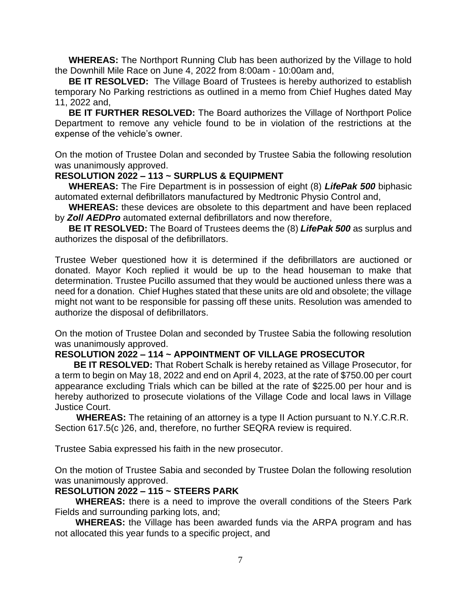**WHEREAS:** The Northport Running Club has been authorized by the Village to hold the Downhill Mile Race on June 4, 2022 from 8:00am - 10:00am and,

**BE IT RESOLVED:** The Village Board of Trustees is hereby authorized to establish temporary No Parking restrictions as outlined in a memo from Chief Hughes dated May 11, 2022 and,

**BE IT FURTHER RESOLVED:** The Board authorizes the Village of Northport Police Department to remove any vehicle found to be in violation of the restrictions at the expense of the vehicle's owner.

On the motion of Trustee Dolan and seconded by Trustee Sabia the following resolution was unanimously approved.

## **RESOLUTION 2022 – 113 ~ SURPLUS & EQUIPMENT**

**WHEREAS:** The Fire Department is in possession of eight (8) *LifePak 500* biphasic automated external defibrillators manufactured by Medtronic Physio Control and,

**WHEREAS:** these devices are obsolete to this department and have been replaced by *Zoll AEDPro* automated external defibrillators and now therefore,

**BE IT RESOLVED:** The Board of Trustees deems the (8) *LifePak 500* as surplus and authorizes the disposal of the defibrillators.

Trustee Weber questioned how it is determined if the defibrillators are auctioned or donated. Mayor Koch replied it would be up to the head houseman to make that determination. Trustee Pucillo assumed that they would be auctioned unless there was a need for a donation. Chief Hughes stated that these units are old and obsolete; the village might not want to be responsible for passing off these units. Resolution was amended to authorize the disposal of defibrillators.

On the motion of Trustee Dolan and seconded by Trustee Sabia the following resolution was unanimously approved.

## **RESOLUTION 2022 – 114 ~ APPOINTMENT OF VILLAGE PROSECUTOR**

 **BE IT RESOLVED:** That Robert Schalk is hereby retained as Village Prosecutor, for a term to begin on May 18, 2022 and end on April 4, 2023, at the rate of \$750.00 per court appearance excluding Trials which can be billed at the rate of \$225.00 per hour and is hereby authorized to prosecute violations of the Village Code and local laws in Village Justice Court.

 **WHEREAS:** The retaining of an attorney is a type II Action pursuant to N.Y.C.R.R. Section 617.5(c )26, and, therefore, no further SEQRA review is required.

Trustee Sabia expressed his faith in the new prosecutor.

On the motion of Trustee Sabia and seconded by Trustee Dolan the following resolution was unanimously approved.

## **RESOLUTION 2022 – 115 ~ STEERS PARK**

**WHEREAS:** there is a need to improve the overall conditions of the Steers Park Fields and surrounding parking lots, and;

**WHEREAS:** the Village has been awarded funds via the ARPA program and has not allocated this year funds to a specific project, and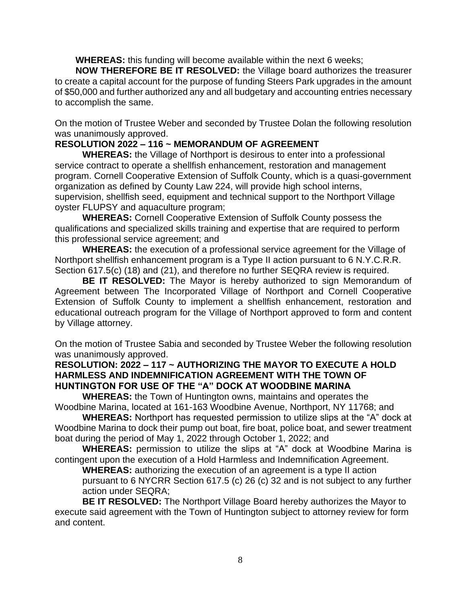**WHEREAS:** this funding will become available within the next 6 weeks;

**NOW THEREFORE BE IT RESOLVED:** the Village board authorizes the treasurer to create a capital account for the purpose of funding Steers Park upgrades in the amount of \$50,000 and further authorized any and all budgetary and accounting entries necessary to accomplish the same.

On the motion of Trustee Weber and seconded by Trustee Dolan the following resolution was unanimously approved.

# **RESOLUTION 2022 – 116 ~ MEMORANDUM OF AGREEMENT**

**WHEREAS:** the Village of Northport is desirous to enter into a professional service contract to operate a shellfish enhancement, restoration and management program. Cornell Cooperative Extension of Suffolk County, which is a quasi-government organization as defined by County Law 224, will provide high school interns, supervision, shellfish seed, equipment and technical support to the Northport Village oyster FLUPSY and aquaculture program;

**WHEREAS:** Cornell Cooperative Extension of Suffolk County possess the qualifications and specialized skills training and expertise that are required to perform this professional service agreement; and

**WHEREAS:** the execution of a professional service agreement for the Village of Northport shellfish enhancement program is a Type II action pursuant to 6 N.Y.C.R.R. Section 617.5(c) (18) and (21), and therefore no further SEQRA review is required.

**BE IT RESOLVED:** The Mayor is hereby authorized to sign Memorandum of Agreement between The Incorporated Village of Northport and Cornell Cooperative Extension of Suffolk County to implement a shellfish enhancement, restoration and educational outreach program for the Village of Northport approved to form and content by Village attorney.

On the motion of Trustee Sabia and seconded by Trustee Weber the following resolution was unanimously approved.

# **RESOLUTION: 2022 – 117 ~ AUTHORIZING THE MAYOR TO EXECUTE A HOLD HARMLESS AND INDEMNIFICATION AGREEMENT WITH THE TOWN OF HUNTINGTON FOR USE OF THE "A" DOCK AT WOODBINE MARINA**

**WHEREAS:** the Town of Huntington owns, maintains and operates the Woodbine Marina, located at 161-163 Woodbine Avenue, Northport, NY 11768; and

**WHEREAS:** Northport has requested permission to utilize slips at the "A" dock at Woodbine Marina to dock their pump out boat, fire boat, police boat, and sewer treatment boat during the period of May 1, 2022 through October 1, 2022; and

**WHEREAS:** permission to utilize the slips at "A" dock at Woodbine Marina is contingent upon the execution of a Hold Harmless and Indemnification Agreement.

**WHEREAS:** authorizing the execution of an agreement is a type II action pursuant to 6 NYCRR Section 617.5 (c) 26 (c) 32 and is not subject to any further action under SEQRA;

**BE IT RESOLVED:** The Northport Village Board hereby authorizes the Mayor to execute said agreement with the Town of Huntington subject to attorney review for form and content.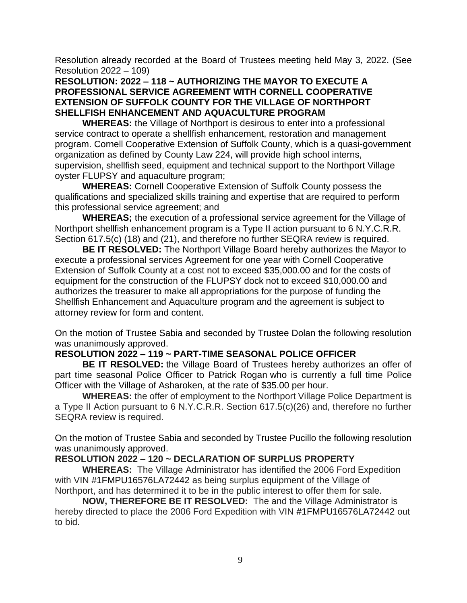Resolution already recorded at the Board of Trustees meeting held May 3, 2022. (See Resolution 2022 – 109)

## **RESOLUTION: 2022 – 118 ~ AUTHORIZING THE MAYOR TO EXECUTE A PROFESSIONAL SERVICE AGREEMENT WITH CORNELL COOPERATIVE EXTENSION OF SUFFOLK COUNTY FOR THE VILLAGE OF NORTHPORT SHELLFISH ENHANCEMENT AND AQUACULTURE PROGRAM**

**WHEREAS:** the Village of Northport is desirous to enter into a professional service contract to operate a shellfish enhancement, restoration and management program. Cornell Cooperative Extension of Suffolk County, which is a quasi-government organization as defined by County Law 224, will provide high school interns, supervision, shellfish seed, equipment and technical support to the Northport Village oyster FLUPSY and aquaculture program;

**WHEREAS:** Cornell Cooperative Extension of Suffolk County possess the qualifications and specialized skills training and expertise that are required to perform this professional service agreement; and

**WHEREAS;** the execution of a professional service agreement for the Village of Northport shellfish enhancement program is a Type II action pursuant to 6 N.Y.C.R.R. Section 617.5(c) (18) and (21), and therefore no further SEQRA review is required.

**BE IT RESOLVED:** The Northport Village Board hereby authorizes the Mayor to execute a professional services Agreement for one year with Cornell Cooperative Extension of Suffolk County at a cost not to exceed \$35,000.00 and for the costs of equipment for the construction of the FLUPSY dock not to exceed \$10,000.00 and authorizes the treasurer to make all appropriations for the purpose of funding the Shellfish Enhancement and Aquaculture program and the agreement is subject to attorney review for form and content.

On the motion of Trustee Sabia and seconded by Trustee Dolan the following resolution was unanimously approved.

# **RESOLUTION 2022 – 119 ~ PART-TIME SEASONAL POLICE OFFICER**

**BE IT RESOLVED:** the Village Board of Trustees hereby authorizes an offer of part time seasonal Police Officer to Patrick Rogan who is currently a full time Police Officer with the Village of Asharoken, at the rate of \$35.00 per hour.

**WHEREAS:** the offer of employment to the Northport Village Police Department is a Type II Action pursuant to 6 N.Y.C.R.R. Section 617.5(c)(26) and, therefore no further SEQRA review is required.

On the motion of Trustee Sabia and seconded by Trustee Pucillo the following resolution was unanimously approved.

# **RESOLUTION 2022 – 120 ~ DECLARATION OF SURPLUS PROPERTY**

**WHEREAS:** The Village Administrator has identified the 2006 Ford Expedition with VIN #1FMPU16576LA72442 as being surplus equipment of the Village of Northport, and has determined it to be in the public interest to offer them for sale.

**NOW, THEREFORE BE IT RESOLVED:** The and the Village Administrator is hereby directed to place the 2006 Ford Expedition with VIN #1FMPU16576LA72442 out to bid.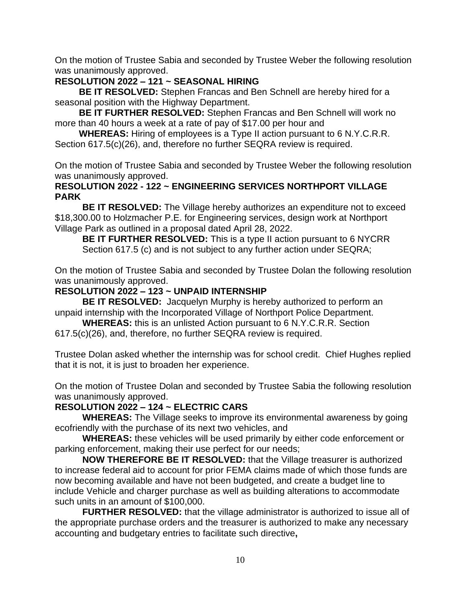On the motion of Trustee Sabia and seconded by Trustee Weber the following resolution was unanimously approved.

## **RESOLUTION 2022 – 121 ~ SEASONAL HIRING**

**BE IT RESOLVED:** Stephen Francas and Ben Schnell are hereby hired for a seasonal position with the Highway Department.

**BE IT FURTHER RESOLVED:** Stephen Francas and Ben Schnell will work no more than 40 hours a week at a rate of pay of \$17.00 per hour and

**WHEREAS:** Hiring of employees is a Type II action pursuant to 6 N.Y.C.R.R. Section 617.5(c)(26), and, therefore no further SEQRA review is required.

On the motion of Trustee Sabia and seconded by Trustee Weber the following resolution was unanimously approved.

#### **RESOLUTION 2022 - 122 ~ ENGINEERING SERVICES NORTHPORT VILLAGE PARK**

**BE IT RESOLVED:** The Village hereby authorizes an expenditure not to exceed \$18,300.00 to Holzmacher P.E. for Engineering services, design work at Northport Village Park as outlined in a proposal dated April 28, 2022.

**BE IT FURTHER RESOLVED:** This is a type II action pursuant to 6 NYCRR Section 617.5 (c) and is not subject to any further action under SEQRA;

On the motion of Trustee Sabia and seconded by Trustee Dolan the following resolution was unanimously approved.

## **RESOLUTION 2022 – 123 ~ UNPAID INTERNSHIP**

 **BE IT RESOLVED:** Jacquelyn Murphy is hereby authorized to perform an unpaid internship with the Incorporated Village of Northport Police Department.

**WHEREAS:** this is an unlisted Action pursuant to 6 N.Y.C.R.R. Section

617.5(c)(26), and, therefore, no further SEQRA review is required.

Trustee Dolan asked whether the internship was for school credit. Chief Hughes replied that it is not, it is just to broaden her experience.

On the motion of Trustee Dolan and seconded by Trustee Sabia the following resolution was unanimously approved.

## **RESOLUTION 2022 – 124 ~ ELECTRIC CARS**

**WHEREAS:** The Village seeks to improve its environmental awareness by going ecofriendly with the purchase of its next two vehicles, and

**WHEREAS:** these vehicles will be used primarily by either code enforcement or parking enforcement, making their use perfect for our needs;

**NOW THEREFORE BE IT RESOLVED:** that the Village treasurer is authorized to increase federal aid to account for prior FEMA claims made of which those funds are now becoming available and have not been budgeted, and create a budget line to include Vehicle and charger purchase as well as building alterations to accommodate such units in an amount of \$100,000.

**FURTHER RESOLVED:** that the village administrator is authorized to issue all of the appropriate purchase orders and the treasurer is authorized to make any necessary accounting and budgetary entries to facilitate such directive**,**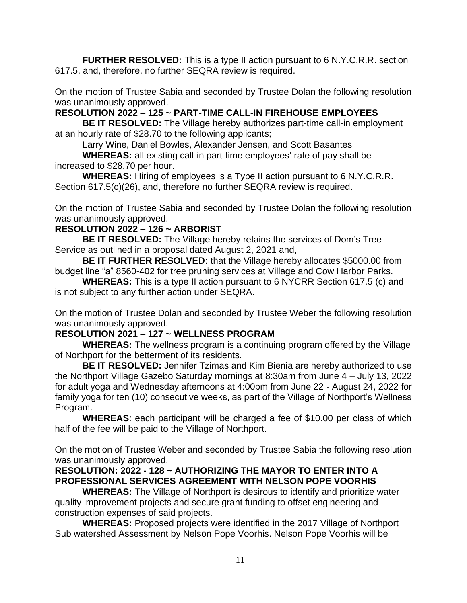**FURTHER RESOLVED:** This is a type II action pursuant to 6 N.Y.C.R.R. section 617.5, and, therefore, no further SEQRA review is required.

On the motion of Trustee Sabia and seconded by Trustee Dolan the following resolution was unanimously approved.

**RESOLUTION 2022 – 125 ~ PART-TIME CALL-IN FIREHOUSE EMPLOYEES**

**BE IT RESOLVED:** The Village hereby authorizes part-time call-in employment at an hourly rate of \$28.70 to the following applicants;

Larry Wine, Daniel Bowles, Alexander Jensen, and Scott Basantes

**WHEREAS:** all existing call-in part-time employees' rate of pay shall be increased to \$28.70 per hour.

**WHEREAS:** Hiring of employees is a Type II action pursuant to 6 N.Y.C.R.R. Section 617.5(c)(26), and, therefore no further SEQRA review is required.

On the motion of Trustee Sabia and seconded by Trustee Dolan the following resolution was unanimously approved.

## **RESOLUTION 2022 – 126 ~ ARBORIST**

**BE IT RESOLVED:** The Village hereby retains the services of Dom's Tree Service as outlined in a proposal dated August 2, 2021 and,

**BE IT FURTHER RESOLVED:** that the Village hereby allocates \$5000.00 from budget line "a" 8560-402 for tree pruning services at Village and Cow Harbor Parks.

**WHEREAS:** This is a type II action pursuant to 6 NYCRR Section 617.5 (c) and is not subject to any further action under SEQRA.

On the motion of Trustee Dolan and seconded by Trustee Weber the following resolution was unanimously approved.

## **RESOLUTION 2021 – 127 ~ WELLNESS PROGRAM**

 **WHEREAS:** The wellness program is a continuing program offered by the Village of Northport for the betterment of its residents.

**BE IT RESOLVED:** Jennifer Tzimas and Kim Bienia are hereby authorized to use the Northport Village Gazebo Saturday mornings at 8:30am from June 4 – July 13, 2022 for adult yoga and Wednesday afternoons at 4:00pm from June 22 - August 24, 2022 for family yoga for ten (10) consecutive weeks, as part of the Village of Northport's Wellness Program.

**WHEREAS**: each participant will be charged a fee of \$10.00 per class of which half of the fee will be paid to the Village of Northport.

On the motion of Trustee Weber and seconded by Trustee Sabia the following resolution was unanimously approved.

## **RESOLUTION: 2022 - 128 ~ AUTHORIZING THE MAYOR TO ENTER INTO A PROFESSIONAL SERVICES AGREEMENT WITH NELSON POPE VOORHIS**

**WHEREAS:** The Village of Northport is desirous to identify and prioritize water quality improvement projects and secure grant funding to offset engineering and construction expenses of said projects.

**WHEREAS:** Proposed projects were identified in the 2017 Village of Northport Sub watershed Assessment by Nelson Pope Voorhis. Nelson Pope Voorhis will be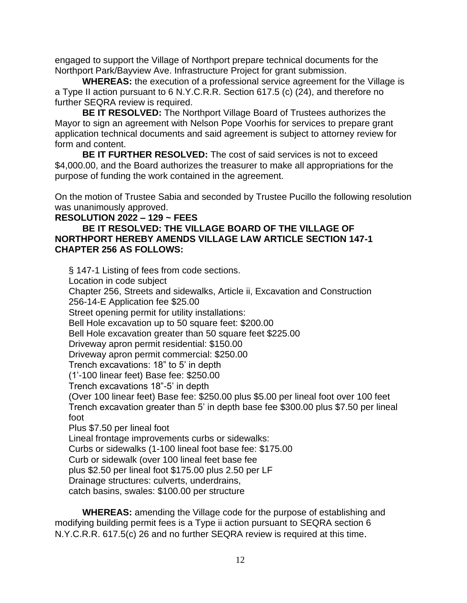engaged to support the Village of Northport prepare technical documents for the Northport Park/Bayview Ave. Infrastructure Project for grant submission.

**WHEREAS:** the execution of a professional service agreement for the Village is a Type II action pursuant to 6 N.Y.C.R.R. Section 617.5 (c) (24), and therefore no further SEQRA review is required.

**BE IT RESOLVED:** The Northport Village Board of Trustees authorizes the Mayor to sign an agreement with Nelson Pope Voorhis for services to prepare grant application technical documents and said agreement is subject to attorney review for form and content.

**BE IT FURTHER RESOLVED:** The cost of said services is not to exceed \$4,000.00, and the Board authorizes the treasurer to make all appropriations for the purpose of funding the work contained in the agreement.

On the motion of Trustee Sabia and seconded by Trustee Pucillo the following resolution was unanimously approved.

## **RESOLUTION 2022 – 129 ~ FEES**

#### **BE IT RESOLVED: THE VILLAGE BOARD OF THE VILLAGE OF NORTHPORT HEREBY AMENDS VILLAGE LAW ARTICLE SECTION 147-1 CHAPTER 256 AS FOLLOWS:**

§ 147-1 Listing of fees from code sections. Location in code subject Chapter 256, Streets and sidewalks, Article ii, Excavation and Construction 256-14-E Application fee \$25.00 Street opening permit for utility installations: Bell Hole excavation up to 50 square feet: \$200.00 Bell Hole excavation greater than 50 square feet \$225.00 Driveway apron permit residential: \$150.00 Driveway apron permit commercial: \$250.00 Trench excavations: 18" to 5' in depth (1'-100 linear feet) Base fee: \$250.00 Trench excavations 18"-5' in depth (Over 100 linear feet) Base fee: \$250.00 plus \$5.00 per lineal foot over 100 feet Trench excavation greater than 5' in depth base fee \$300.00 plus \$7.50 per lineal foot Plus \$7.50 per lineal foot Lineal frontage improvements curbs or sidewalks: Curbs or sidewalks (1-100 lineal foot base fee: \$175.00 Curb or sidewalk (over 100 lineal feet base fee plus \$2.50 per lineal foot \$175.00 plus 2.50 per LF Drainage structures: culverts, underdrains, catch basins, swales: \$100.00 per structure

**WHEREAS:** amending the Village code for the purpose of establishing and modifying building permit fees is a Type ii action pursuant to SEQRA section 6 N.Y.C.R.R. 617.5(c) 26 and no further SEQRA review is required at this time.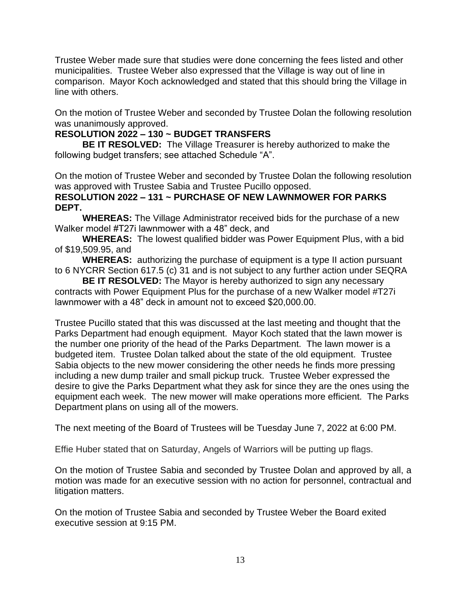Trustee Weber made sure that studies were done concerning the fees listed and other municipalities. Trustee Weber also expressed that the Village is way out of line in comparison. Mayor Koch acknowledged and stated that this should bring the Village in line with others.

On the motion of Trustee Weber and seconded by Trustee Dolan the following resolution was unanimously approved.

# **RESOLUTION 2022 – 130 ~ BUDGET TRANSFERS**

**BE IT RESOLVED:** The Village Treasurer is hereby authorized to make the following budget transfers; see attached Schedule "A".

On the motion of Trustee Weber and seconded by Trustee Dolan the following resolution was approved with Trustee Sabia and Trustee Pucillo opposed.

## **RESOLUTION 2022 – 131 ~ PURCHASE OF NEW LAWNMOWER FOR PARKS DEPT.**

**WHEREAS:** The Village Administrator received bids for the purchase of a new Walker model #T27i lawnmower with a 48" deck, and

**WHEREAS:** The lowest qualified bidder was Power Equipment Plus, with a bid of \$19,509.95, and

**WHEREAS:** authorizing the purchase of equipment is a type II action pursuant to 6 NYCRR Section 617.5 (c) 31 and is not subject to any further action under SEQRA

**BE IT RESOLVED:** The Mayor is hereby authorized to sign any necessary contracts with Power Equipment Plus for the purchase of a new Walker model #T27i lawnmower with a 48" deck in amount not to exceed \$20,000.00.

Trustee Pucillo stated that this was discussed at the last meeting and thought that the Parks Department had enough equipment. Mayor Koch stated that the lawn mower is the number one priority of the head of the Parks Department. The lawn mower is a budgeted item. Trustee Dolan talked about the state of the old equipment. Trustee Sabia objects to the new mower considering the other needs he finds more pressing including a new dump trailer and small pickup truck. Trustee Weber expressed the desire to give the Parks Department what they ask for since they are the ones using the equipment each week. The new mower will make operations more efficient. The Parks Department plans on using all of the mowers.

The next meeting of the Board of Trustees will be Tuesday June 7, 2022 at 6:00 PM.

Effie Huber stated that on Saturday, Angels of Warriors will be putting up flags.

On the motion of Trustee Sabia and seconded by Trustee Dolan and approved by all, a motion was made for an executive session with no action for personnel, contractual and litigation matters.

On the motion of Trustee Sabia and seconded by Trustee Weber the Board exited executive session at 9:15 PM.